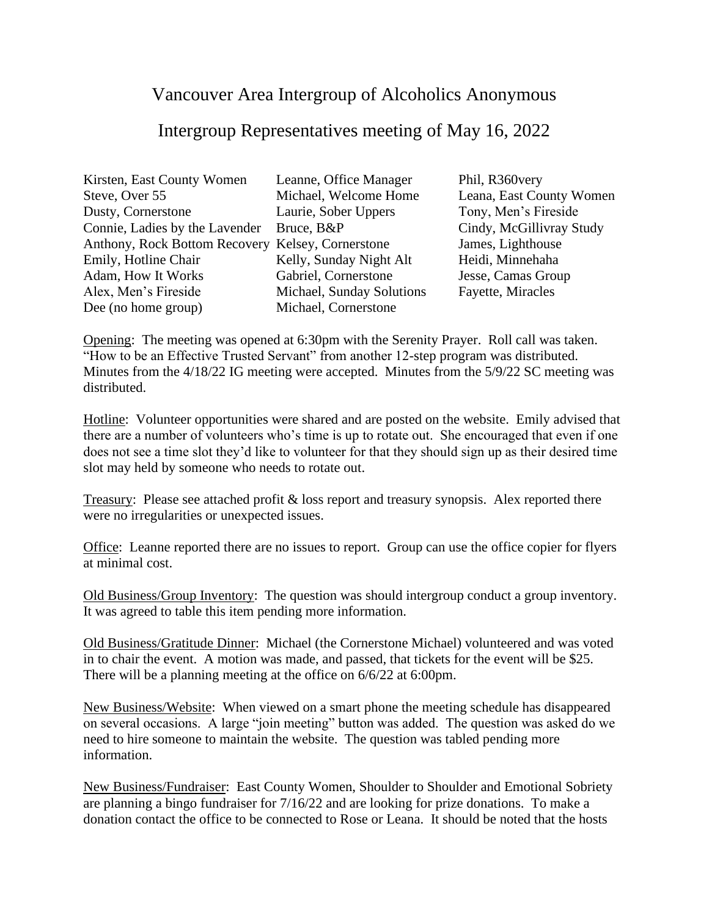## Vancouver Area Intergroup of Alcoholics Anonymous

## Intergroup Representatives meeting of May 16, 2022

| Leanne, Office Manager                            |
|---------------------------------------------------|
| Michael, Welcome Home                             |
| Laurie, Sober Uppers                              |
| Bruce, B&P                                        |
| Anthony, Rock Bottom Recovery Kelsey, Cornerstone |
| Kelly, Sunday Night Alt                           |
| Gabriel, Cornerstone                              |
| Michael, Sunday Solutions                         |
| Michael, Cornerstone                              |
|                                                   |

Phil, R360very Leana, East County Women Tony, Men's Fireside Cindy, McGillivray Study James, Lighthouse Heidi, Minnehaha Jesse, Camas Group Fayette, Miracles

Opening: The meeting was opened at 6:30pm with the Serenity Prayer. Roll call was taken. "How to be an Effective Trusted Servant" from another 12-step program was distributed. Minutes from the 4/18/22 IG meeting were accepted. Minutes from the 5/9/22 SC meeting was distributed.

Hotline: Volunteer opportunities were shared and are posted on the website. Emily advised that there are a number of volunteers who's time is up to rotate out. She encouraged that even if one does not see a time slot they'd like to volunteer for that they should sign up as their desired time slot may held by someone who needs to rotate out.

Treasury: Please see attached profit & loss report and treasury synopsis. Alex reported there were no irregularities or unexpected issues.

Office: Leanne reported there are no issues to report. Group can use the office copier for flyers at minimal cost.

Old Business/Group Inventory: The question was should intergroup conduct a group inventory. It was agreed to table this item pending more information.

Old Business/Gratitude Dinner: Michael (the Cornerstone Michael) volunteered and was voted in to chair the event. A motion was made, and passed, that tickets for the event will be \$25. There will be a planning meeting at the office on 6/6/22 at 6:00pm.

New Business/Website: When viewed on a smart phone the meeting schedule has disappeared on several occasions. A large "join meeting" button was added. The question was asked do we need to hire someone to maintain the website. The question was tabled pending more information.

New Business/Fundraiser: East County Women, Shoulder to Shoulder and Emotional Sobriety are planning a bingo fundraiser for 7/16/22 and are looking for prize donations. To make a donation contact the office to be connected to Rose or Leana. It should be noted that the hosts